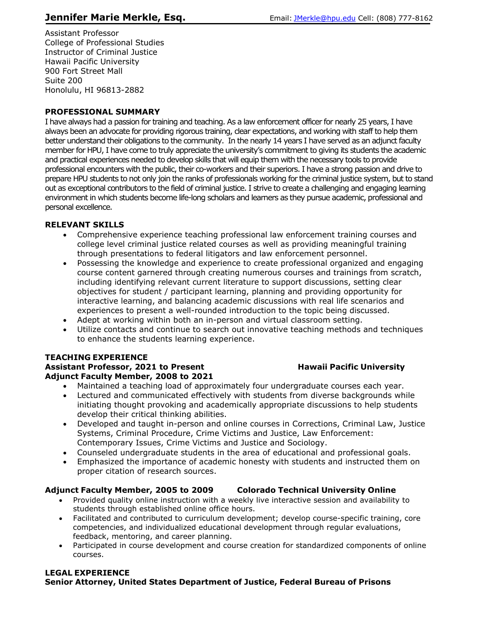Assistant Professor College of Professional Studies Instructor of Criminal Justice Hawaii Pacific University 900 Fort Street Mall Suite 200 Honolulu, HI 96813-2882

## **PROFESSIONAL SUMMARY**

I have always had a passion for training and teaching. As a law enforcement officer for nearly 25 years, I have always been an advocate for providing rigorous training, clear expectations, and working with staff to help them better understand their obligations to the community. In the nearly 14 years I have served as an adjunct faculty member for HPU, I have come to truly appreciate the university's commitment to giving its students the academic and practical experiences needed to develop skills that will equip them with the necessary tools to provide professional encounters with the public, their co-workers and their superiors. I have a strong passion and drive to prepare HPU students to not only join the ranks of professionals working for the criminal justice system, but to stand out as exceptional contributors to the field of criminal justice. I strive to create a challenging and engaging learning environment in which students become life-long scholars and learners as they pursue academic, professional and personal excellence.

## **RELEVANT SKILLS**

- Comprehensive experience teaching professional law enforcement training courses and college level criminal justice related courses as well as providing meaningful training through presentations to federal litigators and law enforcement personnel.
- Possessing the knowledge and experience to create professional organized and engaging course content garnered through creating numerous courses and trainings from scratch, including identifying relevant current literature to support discussions, setting clear objectives for student / participant learning, planning and providing opportunity for interactive learning, and balancing academic discussions with real life scenarios and experiences to present a well-rounded introduction to the topic being discussed.
- Adept at working within both an in-person and virtual classroom setting.
- Utilize contacts and continue to search out innovative teaching methods and techniques to enhance the students learning experience.

## **TEACHING EXPERIENCE**

#### **Assistant Professor, 2021 to Present Hawaii Pacific University Adjunct Faculty Member, 2008 to 2021**

- Maintained a teaching load of approximately four undergraduate courses each year.
- Lectured and communicated effectively with students from diverse backgrounds while initiating thought provoking and academically appropriate discussions to help students develop their critical thinking abilities.
- Developed and taught in-person and online courses in Corrections, Criminal Law, Justice Systems, Criminal Procedure, Crime Victims and Justice, Law Enforcement: Contemporary Issues, Crime Victims and Justice and Sociology.
- Counseled undergraduate students in the area of educational and professional goals.
- Emphasized the importance of academic honesty with students and instructed them on proper citation of research sources.

## **Adjunct Faculty Member, 2005 to 2009 Colorado Technical University Online**

- Provided quality online instruction with a weekly live interactive session and availability to students through established online office hours.
- Facilitated and contributed to curriculum development; develop course-specific training, core competencies, and individualized educational development through regular evaluations, feedback, mentoring, and career planning.
- Participated in course development and course creation for standardized components of online courses.

#### **LEGAL EXPERIENCE Senior Attorney, United States Department of Justice, Federal Bureau of Prisons**